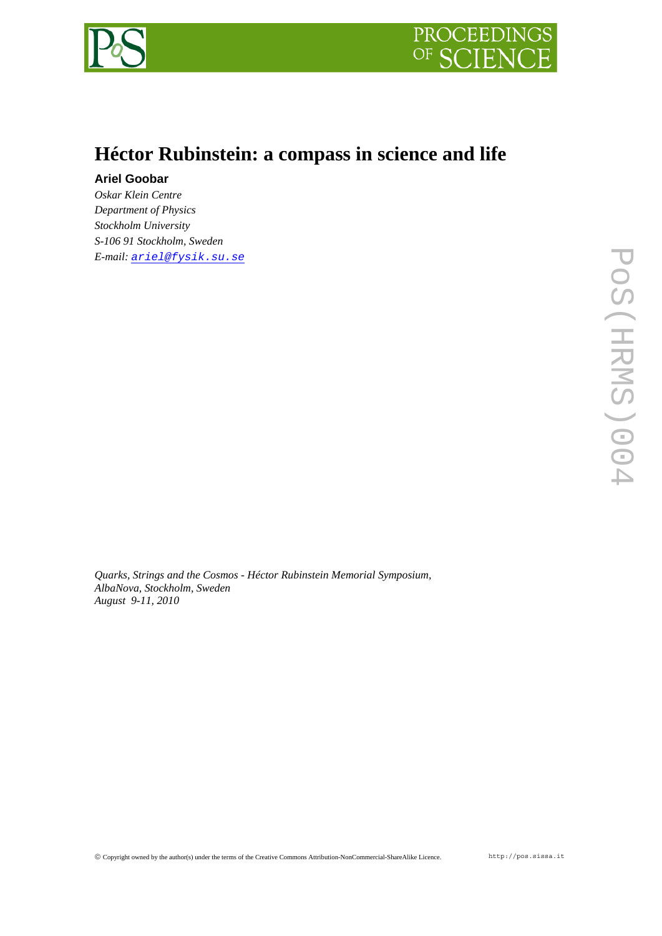



## **Héctor Rubinstein: a compass in science and life**

## **Ariel Goobar**

*Oskar Klein Centre Department of Physics Stockholm University S-106 91 Stockholm, Sweden E-mail: [ariel@fysik.su.se](mailto:ariel@fysik.su.se)*

*Quarks, Strings and the Cosmos - Héctor Rubinstein Memorial Symposium, AlbaNova, Stockholm, Sweden August 9-11, 2010*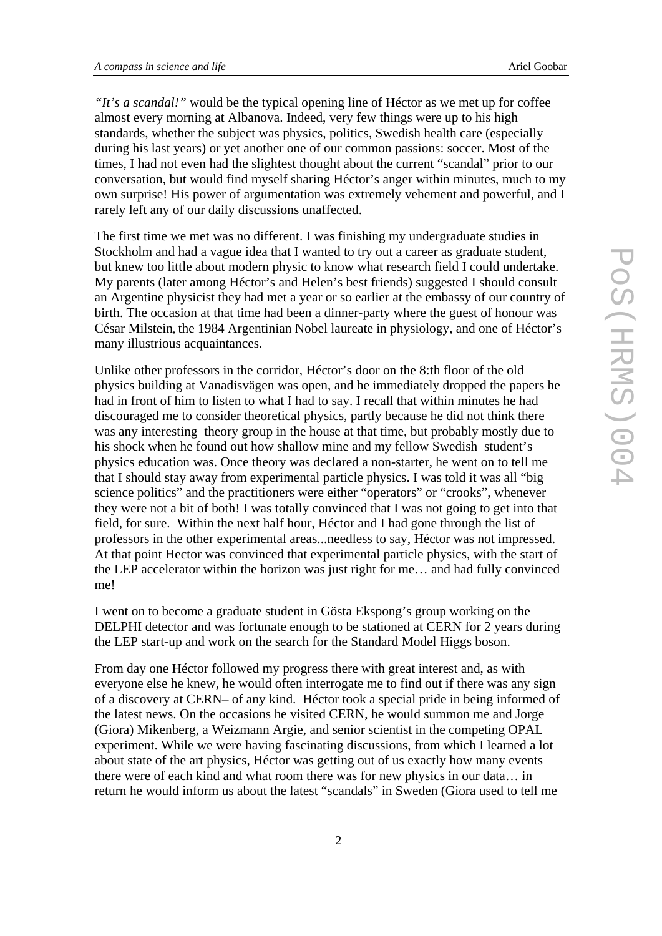*"It's a scandal!"* would be the typical opening line of Héctor as we met up for coffee almost every morning at Albanova. Indeed, very few things were up to his high standards, whether the subject was physics, politics, Swedish health care (especially during his last years) or yet another one of our common passions: soccer. Most of the times, I had not even had the slightest thought about the current "scandal" prior to our conversation, but would find myself sharing Héctor's anger within minutes, much to my own surprise! His power of argumentation was extremely vehement and powerful, and I rarely left any of our daily discussions unaffected.

The first time we met was no different. I was finishing my undergraduate studies in Stockholm and had a vague idea that I wanted to try out a career as graduate student, but knew too little about modern physic to know what research field I could undertake. My parents (later among Héctor's and Helen's best friends) suggested I should consult an Argentine physicist they had met a year or so earlier at the embassy of our country of birth. The occasion at that time had been a dinner-party where the guest of honour was César Milstein, the 1984 Argentinian Nobel laureate in physiology, and one of Héctor's many illustrious acquaintances.

Unlike other professors in the corridor, Héctor's door on the 8:th floor of the old physics building at Vanadisvägen was open, and he immediately dropped the papers he had in front of him to listen to what I had to say. I recall that within minutes he had discouraged me to consider theoretical physics, partly because he did not think there was any interesting theory group in the house at that time, but probably mostly due to his shock when he found out how shallow mine and my fellow Swedish student's physics education was. Once theory was declared a non-starter, he went on to tell me that I should stay away from experimental particle physics. I was told it was all "big science politics" and the practitioners were either "operators" or "crooks", whenever they were not a bit of both! I was totally convinced that I was not going to get into that field, for sure. Within the next half hour, Héctor and I had gone through the list of professors in the other experimental areas...needless to say, Héctor was not impressed. At that point Hector was convinced that experimental particle physics, with the start of the LEP accelerator within the horizon was just right for me… and had fully convinced me!

I went on to become a graduate student in Gösta Ekspong's group working on the DELPHI detector and was fortunate enough to be stationed at CERN for 2 years during the LEP start-up and work on the search for the Standard Model Higgs boson.

From day one Héctor followed my progress there with great interest and, as with everyone else he knew, he would often interrogate me to find out if there was any sign of a discovery at CERN– of any kind. Héctor took a special pride in being informed of the latest news. On the occasions he visited CERN, he would summon me and Jorge (Giora) Mikenberg, a Weizmann Argie, and senior scientist in the competing OPAL experiment. While we were having fascinating discussions, from which I learned a lot about state of the art physics, Héctor was getting out of us exactly how many events there were of each kind and what room there was for new physics in our data… in return he would inform us about the latest "scandals" in Sweden (Giora used to tell me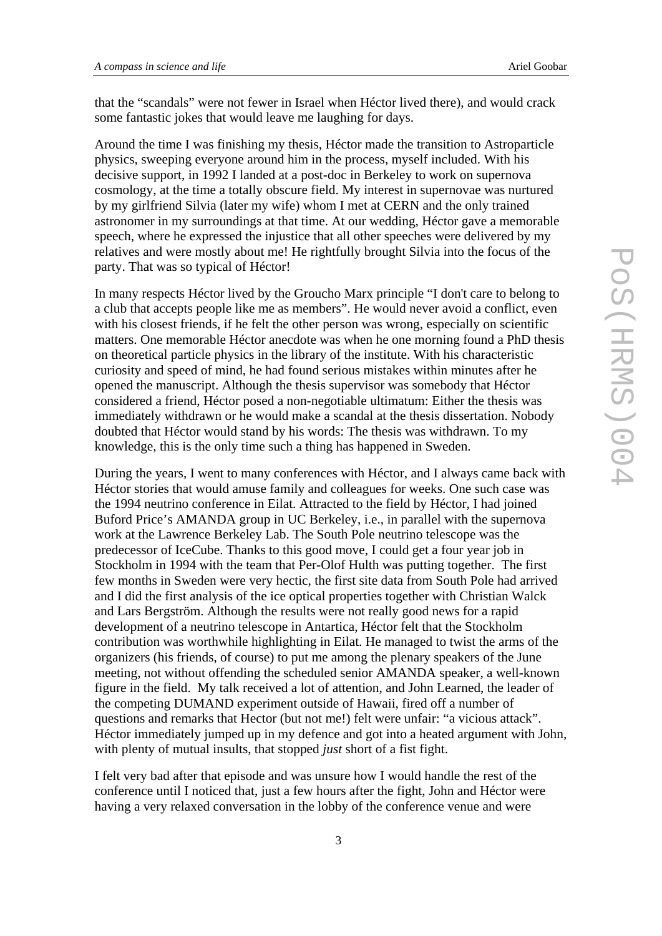that the "scandals" were not fewer in Israel when Héctor lived there), and would crack some fantastic jokes that would leave me laughing for days.

Around the time I was finishing my thesis, Héctor made the transition to Astroparticle physics, sweeping everyone around him in the process, myself included. With his decisive support, in 1992 I landed at a post-doc in Berkeley to work on supernova cosmology, at the time a totally obscure field. My interest in supernovae was nurtured by my girlfriend Silvia (later my wife) whom I met at CERN and the only trained astronomer in my surroundings at that time. At our wedding, Héctor gave a memorable speech, where he expressed the injustice that all other speeches were delivered by my relatives and were mostly about me! He rightfully brought Silvia into the focus of the party. That was so typical of Héctor!

In many respects Héctor lived by the Groucho Marx principle "I don't care to belong to a club that accepts people like me as members". He would never avoid a conflict, even with his closest friends, if he felt the other person was wrong, especially on scientific matters. One memorable Héctor anecdote was when he one morning found a PhD thesis on theoretical particle physics in the library of the institute. With his characteristic curiosity and speed of mind, he had found serious mistakes within minutes after he opened the manuscript. Although the thesis supervisor was somebody that Héctor considered a friend, Héctor posed a non-negotiable ultimatum: Either the thesis was immediately withdrawn or he would make a scandal at the thesis dissertation. Nobody doubted that Héctor would stand by his words: The thesis was withdrawn. To my knowledge, this is the only time such a thing has happened in Sweden.

During the years, I went to many conferences with Héctor, and I always came back with Héctor stories that would amuse family and colleagues for weeks. One such case was the 1994 neutrino conference in Eilat. Attracted to the field by Héctor, I had joined Buford Price's AMANDA group in UC Berkeley, i.e., in parallel with the supernova work at the Lawrence Berkeley Lab. The South Pole neutrino telescope was the predecessor of IceCube. Thanks to this good move, I could get a four year job in Stockholm in 1994 with the team that Per-Olof Hulth was putting together. The first few months in Sweden were very hectic, the first site data from South Pole had arrived and I did the first analysis of the ice optical properties together with Christian Walck and Lars Bergström. Although the results were not really good news for a rapid development of a neutrino telescope in Antartica, Héctor felt that the Stockholm contribution was worthwhile highlighting in Eilat. He managed to twist the arms of the organizers (his friends, of course) to put me among the plenary speakers of the June meeting, not without offending the scheduled senior AMANDA speaker, a well-known figure in the field. My talk received a lot of attention, and John Learned, the leader of the competing DUMAND experiment outside of Hawaii, fired off a number of questions and remarks that Hector (but not me!) felt were unfair: "a vicious attack". Héctor immediately jumped up in my defence and got into a heated argument with John, with plenty of mutual insults, that stopped *just* short of a fist fight.

I felt very bad after that episode and was unsure how I would handle the rest of the conference until I noticed that, just a few hours after the fight, John and Héctor were having a very relaxed conversation in the lobby of the conference venue and were